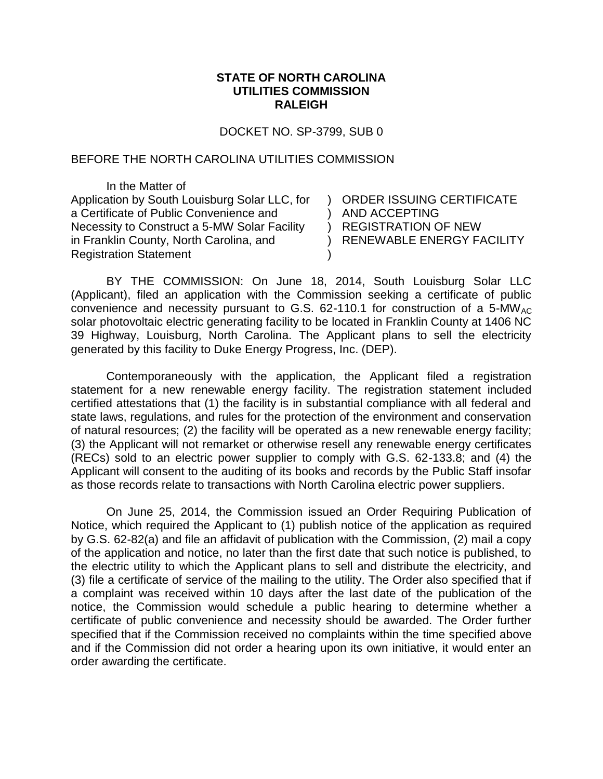## **STATE OF NORTH CAROLINA UTILITIES COMMISSION RALEIGH**

DOCKET NO. SP-3799, SUB 0

## BEFORE THE NORTH CAROLINA UTILITIES COMMISSION

In the Matter of Application by South Louisburg Solar LLC, for a Certificate of Public Convenience and Necessity to Construct a 5-MW Solar Facility in Franklin County, North Carolina, and Registration Statement

) ORDER ISSUING CERTIFICATE ) AND ACCEPTING ) REGISTRATION OF NEW ) RENEWABLE ENERGY FACILITY

BY THE COMMISSION: On June 18, 2014, South Louisburg Solar LLC (Applicant), filed an application with the Commission seeking a certificate of public convenience and necessity pursuant to G.S.  $62-110.1$  for construction of a 5-MW<sub>AC</sub> solar photovoltaic electric generating facility to be located in Franklin County at 1406 NC 39 Highway, Louisburg, North Carolina. The Applicant plans to sell the electricity generated by this facility to Duke Energy Progress, Inc. (DEP).

)

Contemporaneously with the application, the Applicant filed a registration statement for a new renewable energy facility. The registration statement included certified attestations that (1) the facility is in substantial compliance with all federal and state laws, regulations, and rules for the protection of the environment and conservation of natural resources; (2) the facility will be operated as a new renewable energy facility; (3) the Applicant will not remarket or otherwise resell any renewable energy certificates (RECs) sold to an electric power supplier to comply with G.S. 62-133.8; and (4) the Applicant will consent to the auditing of its books and records by the Public Staff insofar as those records relate to transactions with North Carolina electric power suppliers.

On June 25, 2014, the Commission issued an Order Requiring Publication of Notice, which required the Applicant to (1) publish notice of the application as required by G.S. 62-82(a) and file an affidavit of publication with the Commission, (2) mail a copy of the application and notice, no later than the first date that such notice is published, to the electric utility to which the Applicant plans to sell and distribute the electricity, and (3) file a certificate of service of the mailing to the utility. The Order also specified that if a complaint was received within 10 days after the last date of the publication of the notice, the Commission would schedule a public hearing to determine whether a certificate of public convenience and necessity should be awarded. The Order further specified that if the Commission received no complaints within the time specified above and if the Commission did not order a hearing upon its own initiative, it would enter an order awarding the certificate.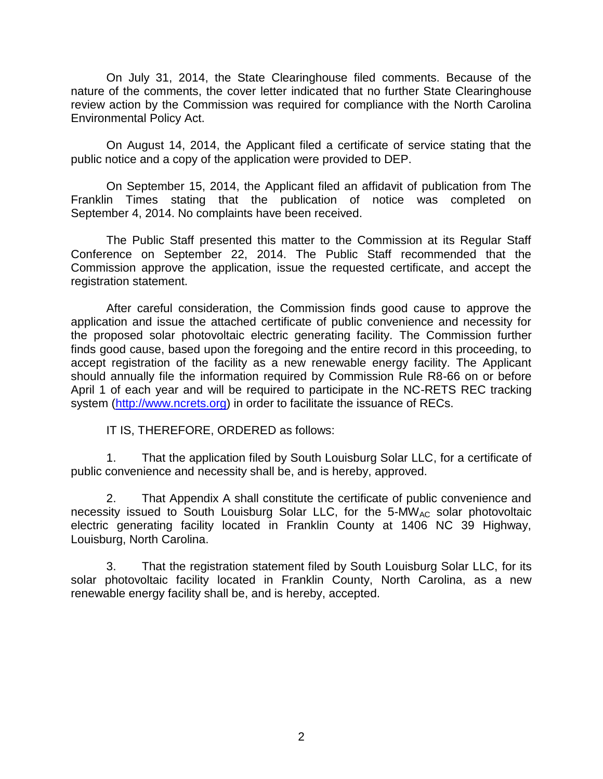On July 31, 2014, the State Clearinghouse filed comments. Because of the nature of the comments, the cover letter indicated that no further State Clearinghouse review action by the Commission was required for compliance with the North Carolina Environmental Policy Act.

On August 14, 2014, the Applicant filed a certificate of service stating that the public notice and a copy of the application were provided to DEP.

On September 15, 2014, the Applicant filed an affidavit of publication from The Franklin Times stating that the publication of notice was completed on September 4, 2014. No complaints have been received.

The Public Staff presented this matter to the Commission at its Regular Staff Conference on September 22, 2014. The Public Staff recommended that the Commission approve the application, issue the requested certificate, and accept the registration statement.

After careful consideration, the Commission finds good cause to approve the application and issue the attached certificate of public convenience and necessity for the proposed solar photovoltaic electric generating facility. The Commission further finds good cause, based upon the foregoing and the entire record in this proceeding, to accept registration of the facility as a new renewable energy facility. The Applicant should annually file the information required by Commission Rule R8-66 on or before April 1 of each year and will be required to participate in the NC-RETS REC tracking system [\(http://www.ncrets.org\)](http://www.ncrets.org/) in order to facilitate the issuance of RECs.

IT IS, THEREFORE, ORDERED as follows:

1. That the application filed by South Louisburg Solar LLC, for a certificate of public convenience and necessity shall be, and is hereby, approved.

2. That Appendix A shall constitute the certificate of public convenience and necessity issued to South Louisburg Solar LLC, for the 5-MW<sub>AC</sub> solar photovoltaic electric generating facility located in Franklin County at 1406 NC 39 Highway, Louisburg, North Carolina.

3. That the registration statement filed by South Louisburg Solar LLC, for its solar photovoltaic facility located in Franklin County, North Carolina, as a new renewable energy facility shall be, and is hereby, accepted.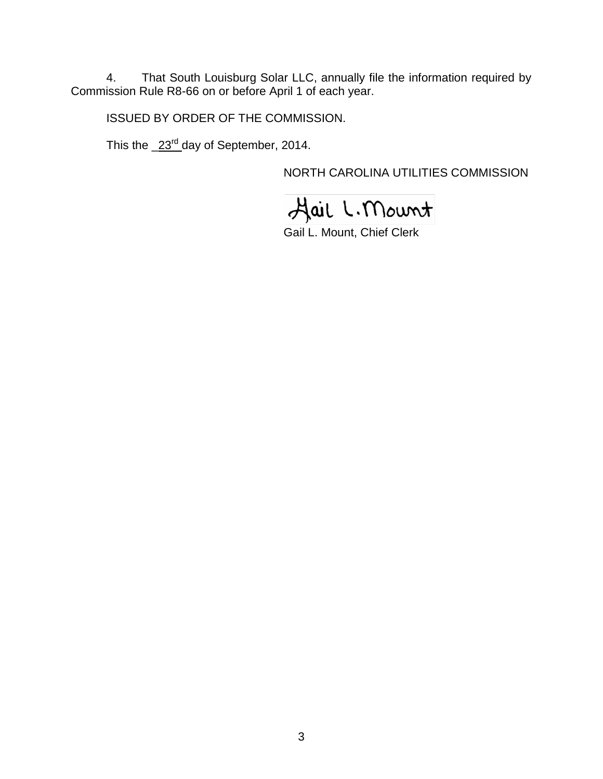4. That South Louisburg Solar LLC, annually file the information required by Commission Rule R8-66 on or before April 1 of each year.

ISSUED BY ORDER OF THE COMMISSION.

This the  $\angle 23^{\text{rd}}$  day of September, 2014.

NORTH CAROLINA UTILITIES COMMISSION

Hail L. Mount

Gail L. Mount, Chief Clerk